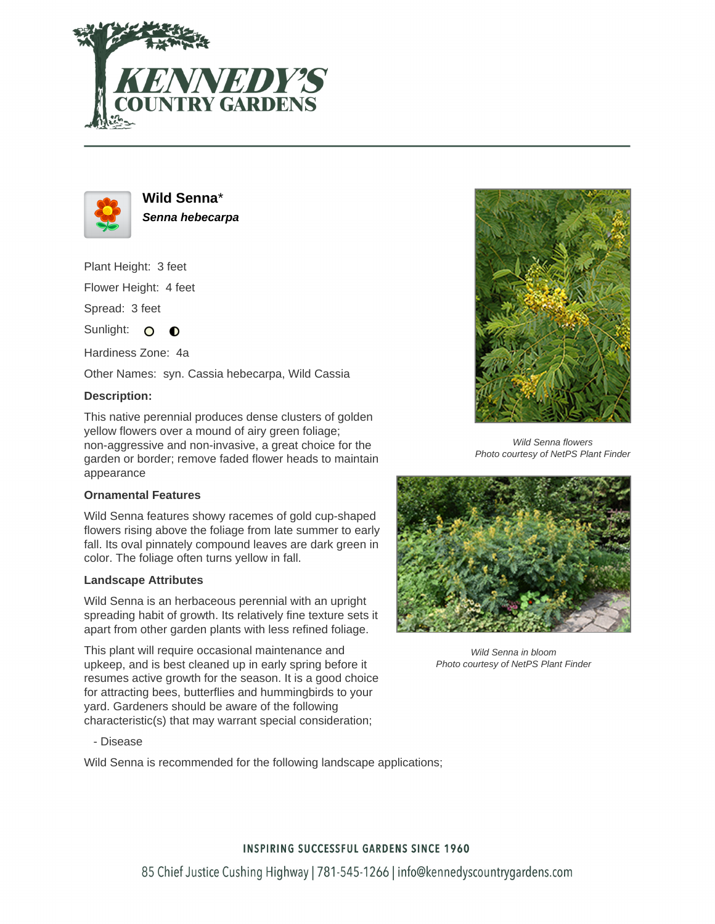



**Wild Senna**\* **Senna hebecarpa**

Plant Height: 3 feet Flower Height: 4 feet

Spread: 3 feet

Sunlight:  $\circ$  $\bullet$ 

Hardiness Zone: 4a

Other Names: syn. Cassia hebecarpa, Wild Cassia

### **Description:**

This native perennial produces dense clusters of golden yellow flowers over a mound of airy green foliage; non-aggressive and non-invasive, a great choice for the garden or border; remove faded flower heads to maintain appearance

### **Ornamental Features**

Wild Senna features showy racemes of gold cup-shaped flowers rising above the foliage from late summer to early fall. Its oval pinnately compound leaves are dark green in color. The foliage often turns yellow in fall.

## **Landscape Attributes**

Wild Senna is an herbaceous perennial with an upright spreading habit of growth. Its relatively fine texture sets it apart from other garden plants with less refined foliage.

This plant will require occasional maintenance and upkeep, and is best cleaned up in early spring before it resumes active growth for the season. It is a good choice for attracting bees, butterflies and hummingbirds to your yard. Gardeners should be aware of the following characteristic(s) that may warrant special consideration;

- Disease

Wild Senna is recommended for the following landscape applications;



Wild Senna flowers Photo courtesy of NetPS Plant Finder



Wild Senna in bloom Photo courtesy of NetPS Plant Finder

## **INSPIRING SUCCESSFUL GARDENS SINCE 1960**